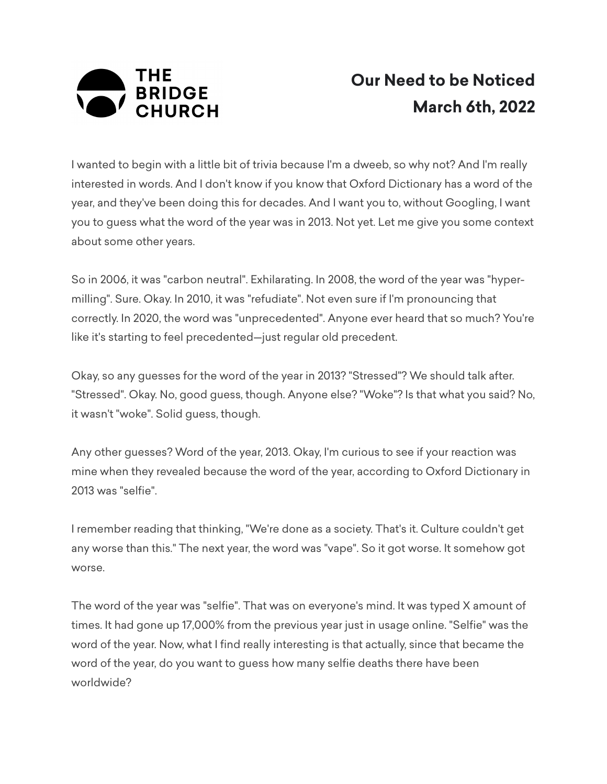

## **Our Need to be Noticed March 6th, 2022**

I wanted to begin with a little bit of trivia because I'm a dweeb, so why not? And I'm really interested in words. And I don't know if you know that Oxford Dictionary has a word of the year, and they've been doing this for decades. And I want you to, without Googling, I want you to guess what the word of the year was in 2013. Not yet. Let me give you some context about some other years.

So in 2006, it was "carbon neutral". Exhilarating. In 2008, the word of the year was "hypermilling". Sure. Okay. In 2010, it was "refudiate". Not even sure if I'm pronouncing that correctly. In 2020, the word was "unprecedented". Anyone ever heard that so much? You're like it's starting to feel precedented—just regular old precedent.

Okay, so any guesses for the word of the year in 2013? "Stressed"? We should talk after. "Stressed". Okay. No, good guess, though. Anyone else? "Woke"? Is that what you said? No, it wasn't "woke". Solid guess, though.

Any other guesses? Word of the year, 2013. Okay, I'm curious to see if your reaction was mine when they revealed because the word of the year, according to Oxford Dictionary in 2013 was "selfie".

I remember reading that thinking, "We're done as a society. That's it. Culture couldn't get any worse than this." The next year, the word was "vape". So it got worse. It somehow got worse.

The word of the year was "selfie". That was on everyone's mind. It was typed X amount of times. It had gone up 17,000% from the previous year just in usage online. "Selfie" was the word of the year. Now, what I find really interesting is that actually, since that became the word of the year, do you want to guess how many selfie deaths there have been worldwide?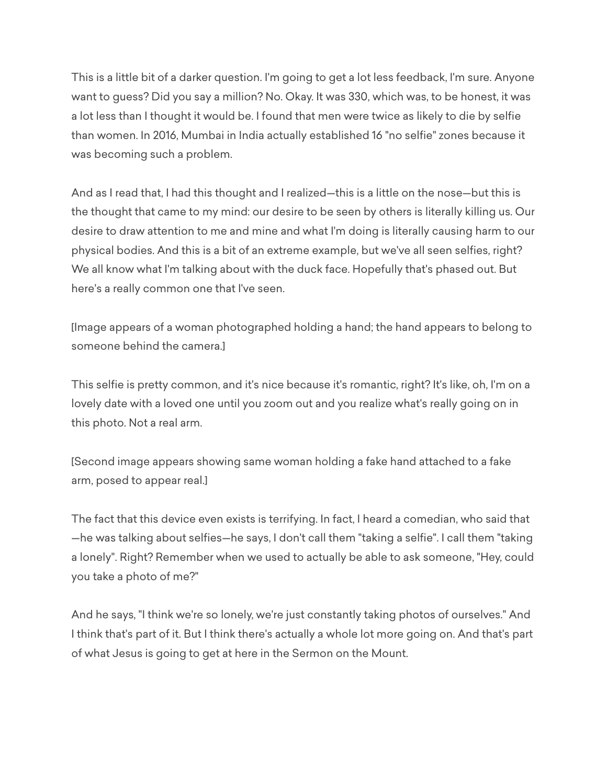This is a little bit of a darker question. I'm going to get a lot less feedback, I'm sure. Anyone want to guess? Did you say a million? No. Okay. It was 330, which was, to be honest, it was a lot less than I thought it would be. I found that men were twice as likely to die by selfie than women. In 2016, Mumbai in India actually established 16 "no selfie" zones because it was becoming such a problem.

And as I read that, I had this thought and I realized—this is a little on the nose—but this is the thought that came to my mind: our desire to be seen by others is literally killing us. Our desire to draw attention to me and mine and what I'm doing is literally causing harm to our physical bodies. And this is a bit of an extreme example, but we've all seen selfies, right? We all know what I'm talking about with the duck face. Hopefully that's phased out. But here's a really common one that I've seen.

[Image appears of a woman photographed holding a hand; the hand appears to belong to someone behind the camera.]

This selfie is pretty common, and it's nice because it's romantic, right? It's like, oh, I'm on a lovely date with a loved one until you zoom out and you realize what's really going on in this photo. Not a real arm.

[Second image appears showing same woman holding a fake hand attached to a fake arm, posed to appear real.]

The fact that this device even exists is terrifying. In fact, I heard a comedian, who said that —he was talking about selfies—he says, I don't call them "taking a selfie". I call them "taking a lonely". Right? Remember when we used to actually be able to ask someone, "Hey, could you take a photo of me?"

And he says, "I think we're so lonely, we're just constantly taking photos of ourselves." And I think that's part of it. But I think there's actually a whole lot more going on. And that's part of what Jesus is going to get at here in the Sermon on the Mount.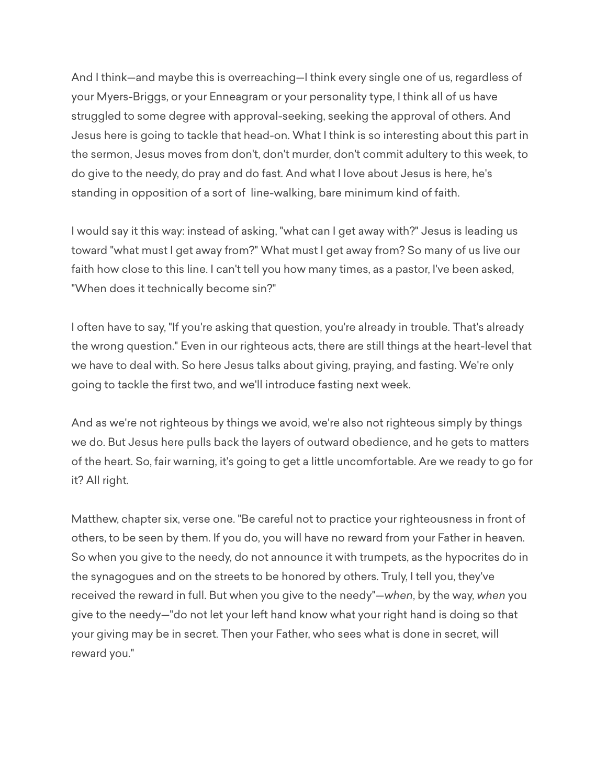And I think—and maybe this is overreaching—I think every single one of us, regardless of your Myers-Briggs, or your Enneagram or your personality type, I think all of us have struggled to some degree with approval-seeking, seeking the approval of others. And Jesus here is going to tackle that head-on. What I think is so interesting about this part in the sermon, Jesus moves from don't, don't murder, don't commit adultery to this week, to do give to the needy, do pray and do fast. And what I love about Jesus is here, he's standing in opposition of a sort of line-walking, bare minimum kind of faith.

I would say it this way: instead of asking, "what can I get away with?" Jesus is leading us toward "what must I get away from?" What must I get away from? So many of us live our faith how close to this line. I can't tell you how many times, as a pastor, I've been asked, "When does it technically become sin?"

I often have to say, "If you're asking that question, you're already in trouble. That's already the wrong question." Even in our righteous acts, there are still things at the heart-level that we have to deal with. So here Jesus talks about giving, praying, and fasting. We're only going to tackle the first two, and we'll introduce fasting next week.

And as we're not righteous by things we avoid, we're also not righteous simply by things we do. But Jesus here pulls back the layers of outward obedience, and he gets to matters of the heart. So, fair warning, it's going to get a little uncomfortable. Are we ready to go for it? All right.

Matthew, chapter six, verse one. "Be careful not to practice your righteousness in front of others, to be seen by them. If you do, you will have no reward from your Father in heaven. So when you give to the needy, do not announce it with trumpets, as the hypocrites do in the synagogues and on the streets to be honored by others. Truly, I tell you, they've received the reward in full. But when you give to the needy"—*when*, by the way, *when* you give to the needy—"do not let your left hand know what your right hand is doing so that your giving may be in secret. Then your Father, who sees what is done in secret, will reward you."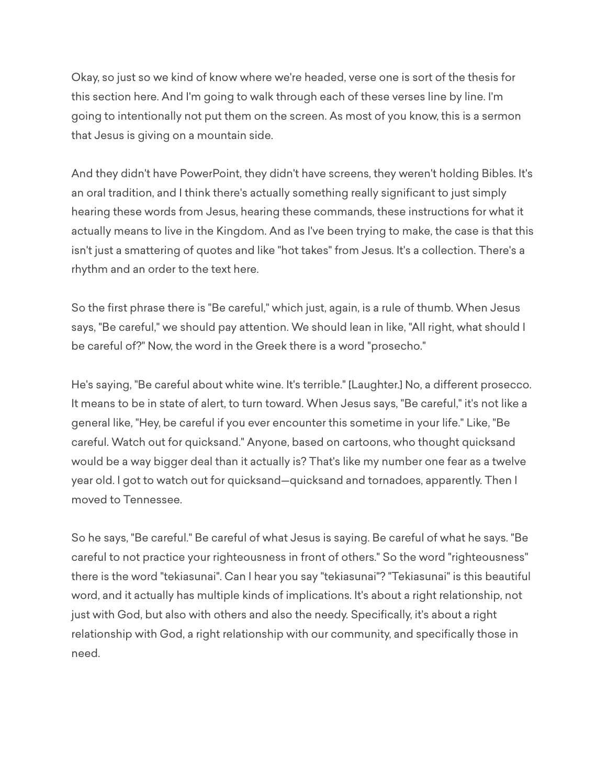Okay, so just so we kind of know where we're headed, verse one is sort of the thesis for this section here. And I'm going to walk through each of these verses line by line. I'm going to intentionally not put them on the screen. As most of you know, this is a sermon that Jesus is giving on a mountain side.

And they didn't have PowerPoint, they didn't have screens, they weren't holding Bibles. It's an oral tradition, and I think there's actually something really significant to just simply hearing these words from Jesus, hearing these commands, these instructions for what it actually means to live in the Kingdom. And as I've been trying to make, the case is that this isn't just a smattering of quotes and like "hot takes" from Jesus. It's a collection. There's a rhythm and an order to the text here.

So the first phrase there is "Be careful," which just, again, is a rule of thumb. When Jesus says, "Be careful," we should pay attention. We should lean in like, "All right, what should I be careful of?" Now, the word in the Greek there is a word "prosecho."

He's saying, "Be careful about white wine. It's terrible." [Laughter.] No, a different prosecco. It means to be in state of alert, to turn toward. When Jesus says, "Be careful," it's not like a general like, "Hey, be careful if you ever encounter this sometime in your life." Like, "Be careful. Watch out for quicksand." Anyone, based on cartoons, who thought quicksand would be a way bigger deal than it actually is? That's like my number one fear as a twelve year old. I got to watch out for quicksand—quicksand and tornadoes, apparently. Then I moved to Tennessee.

So he says, "Be careful." Be careful of what Jesus is saying. Be careful of what he says. "Be careful to not practice your righteousness in front of others." So the word "righteousness" there is the word "tekiasunai". Can I hear you say "tekiasunai"? "Tekiasunai" is this beautiful word, and it actually has multiple kinds of implications. It's about a right relationship, not just with God, but also with others and also the needy. Specifically, it's about a right relationship with God, a right relationship with our community, and specifically those in need.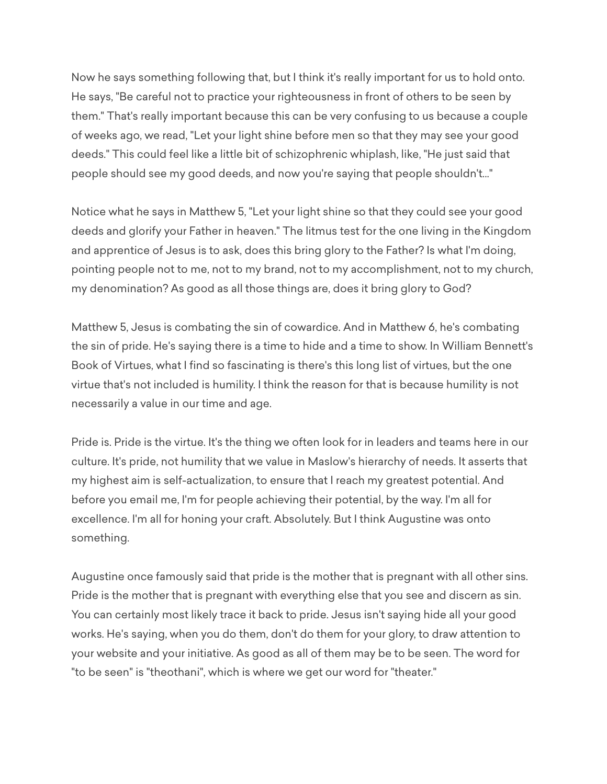Now he says something following that, but I think it's really important for us to hold onto. He says, "Be careful not to practice your righteousness in front of others to be seen by them." That's really important because this can be very confusing to us because a couple of weeks ago, we read, "Let your light shine before men so that they may see your good deeds." This could feel like a little bit of schizophrenic whiplash, like, "He just said that people should see my good deeds, and now you're saying that people shouldn't..."

Notice what he says in Matthew 5, "Let your light shine so that they could see your good deeds and glorify your Father in heaven." The litmus test for the one living in the Kingdom and apprentice of Jesus is to ask, does this bring glory to the Father? Is what I'm doing, pointing people not to me, not to my brand, not to my accomplishment, not to my church, my denomination? As good as all those things are, does it bring glory to God?

Matthew 5, Jesus is combating the sin of cowardice. And in Matthew 6, he's combating the sin of pride. He's saying there is a time to hide and a time to show. In William Bennett's Book of Virtues, what I find so fascinating is there's this long list of virtues, but the one virtue that's not included is humility. I think the reason for that is because humility is not necessarily a value in our time and age.

Pride is. Pride is the virtue. It's the thing we often look for in leaders and teams here in our culture. It's pride, not humility that we value in Maslow's hierarchy of needs. It asserts that my highest aim is self-actualization, to ensure that I reach my greatest potential. And before you email me, I'm for people achieving their potential, by the way. I'm all for excellence. I'm all for honing your craft. Absolutely. But I think Augustine was onto something.

Augustine once famously said that pride is the mother that is pregnant with all other sins. Pride is the mother that is pregnant with everything else that you see and discern as sin. You can certainly most likely trace it back to pride. Jesus isn't saying hide all your good works. He's saying, when you do them, don't do them for your glory, to draw attention to your website and your initiative. As good as all of them may be to be seen. The word for "to be seen" is "theothani", which is where we get our word for "theater."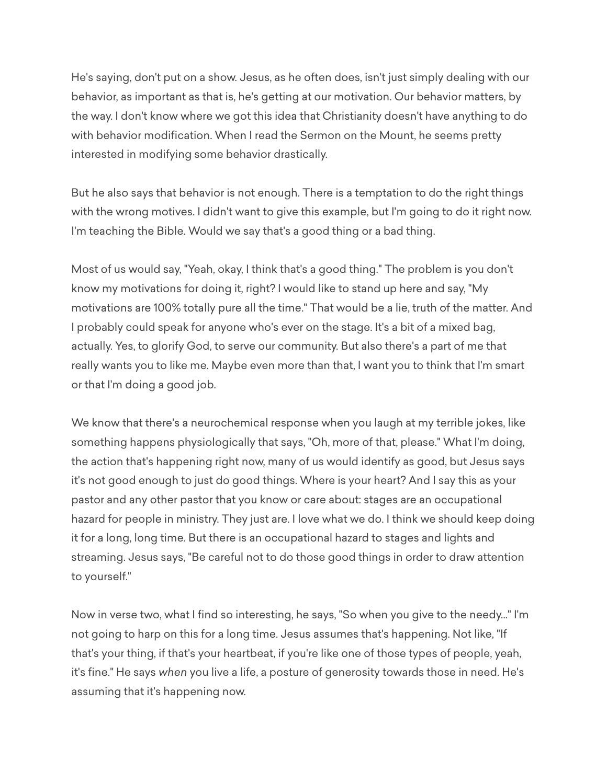He's saying, don't put on a show. Jesus, as he often does, isn't just simply dealing with our behavior, as important as that is, he's getting at our motivation. Our behavior matters, by the way. I don't know where we got this idea that Christianity doesn't have anything to do with behavior modification. When I read the Sermon on the Mount, he seems pretty interested in modifying some behavior drastically.

But he also says that behavior is not enough. There is a temptation to do the right things with the wrong motives. I didn't want to give this example, but I'm going to do it right now. I'm teaching the Bible. Would we say that's a good thing or a bad thing.

Most of us would say, "Yeah, okay, I think that's a good thing." The problem is you don't know my motivations for doing it, right? I would like to stand up here and say, "My motivations are 100% totally pure all the time." That would be a lie, truth of the matter. And I probably could speak for anyone who's ever on the stage. It's a bit of a mixed bag, actually. Yes, to glorify God, to serve our community. But also there's a part of me that really wants you to like me. Maybe even more than that, I want you to think that I'm smart or that I'm doing a good job.

We know that there's a neurochemical response when you laugh at my terrible jokes, like something happens physiologically that says, "Oh, more of that, please." What I'm doing, the action that's happening right now, many of us would identify as good, but Jesus says it's not good enough to just do good things. Where is your heart? And I say this as your pastor and any other pastor that you know or care about: stages are an occupational hazard for people in ministry. They just are. I love what we do. I think we should keep doing it for a long, long time. But there is an occupational hazard to stages and lights and streaming. Jesus says, "Be careful not to do those good things in order to draw attention to yourself."

Now in verse two, what I find so interesting, he says, "So when you give to the needy..." I'm not going to harp on this for a long time. Jesus assumes that's happening. Not like, "If that's your thing, if that's your heartbeat, if you're like one of those types of people, yeah, it's fine." He says *when* you live a life, a posture of generosity towards those in need. He's assuming that it's happening now.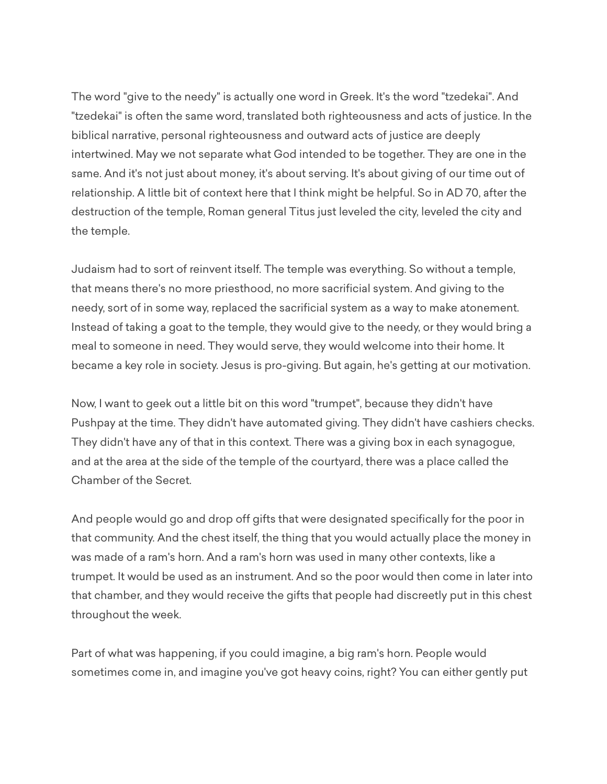The word "give to the needy" is actually one word in Greek. It's the word "tzedekai". And "tzedekai" is often the same word, translated both righteousness and acts of justice. In the biblical narrative, personal righteousness and outward acts of justice are deeply intertwined. May we not separate what God intended to be together. They are one in the same. And it's not just about money, it's about serving. It's about giving of our time out of relationship. A little bit of context here that I think might be helpful. So in AD 70, after the destruction of the temple, Roman general Titus just leveled the city, leveled the city and the temple.

Judaism had to sort of reinvent itself. The temple was everything. So without a temple, that means there's no more priesthood, no more sacrificial system. And giving to the needy, sort of in some way, replaced the sacrificial system as a way to make atonement. Instead of taking a goat to the temple, they would give to the needy, or they would bring a meal to someone in need. They would serve, they would welcome into their home. It became a key role in society. Jesus is pro-giving. But again, he's getting at our motivation.

Now, I want to geek out a little bit on this word "trumpet", because they didn't have Pushpay at the time. They didn't have automated giving. They didn't have cashiers checks. They didn't have any of that in this context. There was a giving box in each synagogue, and at the area at the side of the temple of the courtyard, there was a place called the Chamber of the Secret.

And people would go and drop off gifts that were designated specifically for the poor in that community. And the chest itself, the thing that you would actually place the money in was made of a ram's horn. And a ram's horn was used in many other contexts, like a trumpet. It would be used as an instrument. And so the poor would then come in later into that chamber, and they would receive the gifts that people had discreetly put in this chest throughout the week.

Part of what was happening, if you could imagine, a big ram's horn. People would sometimes come in, and imagine you've got heavy coins, right? You can either gently put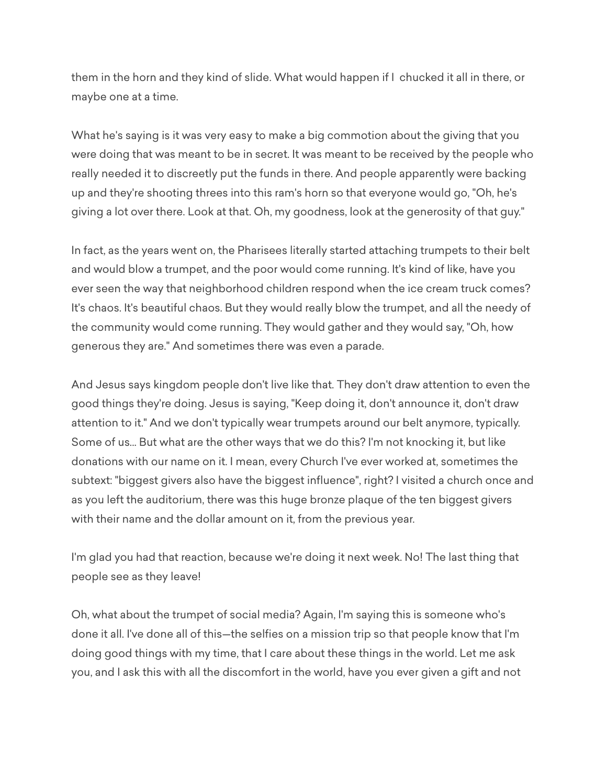them in the horn and they kind of slide. What would happen if I chucked it all in there, or maybe one at a time.

What he's saying is it was very easy to make a big commotion about the giving that you were doing that was meant to be in secret. It was meant to be received by the people who really needed it to discreetly put the funds in there. And people apparently were backing up and they're shooting threes into this ram's horn so that everyone would go, "Oh, he's giving a lot over there. Look at that. Oh, my goodness, look at the generosity of that guy."

In fact, as the years went on, the Pharisees literally started attaching trumpets to their belt and would blow a trumpet, and the poor would come running. It's kind of like, have you ever seen the way that neighborhood children respond when the ice cream truck comes? It's chaos. It's beautiful chaos. But they would really blow the trumpet, and all the needy of the community would come running. They would gather and they would say, "Oh, how generous they are." And sometimes there was even a parade.

And Jesus says kingdom people don't live like that. They don't draw attention to even the good things they're doing. Jesus is saying, "Keep doing it, don't announce it, don't draw attention to it." And we don't typically wear trumpets around our belt anymore, typically. Some of us... But what are the other ways that we do this? I'm not knocking it, but like donations with our name on it. I mean, every Church I've ever worked at, sometimes the subtext: "biggest givers also have the biggest influence", right? I visited a church once and as you left the auditorium, there was this huge bronze plaque of the ten biggest givers with their name and the dollar amount on it, from the previous year.

I'm glad you had that reaction, because we're doing it next week. No! The last thing that people see as they leave!

Oh, what about the trumpet of social media? Again, I'm saying this is someone who's done it all. I've done all of this—the selfies on a mission trip so that people know that I'm doing good things with my time, that I care about these things in the world. Let me ask you, and I ask this with all the discomfort in the world, have you ever given a gift and not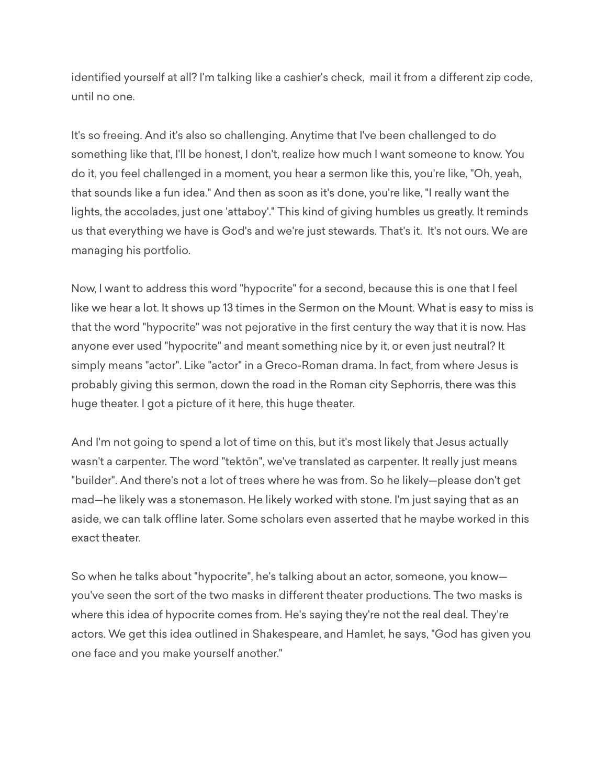identified yourself at all? I'm talking like a cashier's check, mail it from a different zip code, until no one.

It's so freeing. And it's also so challenging. Anytime that I've been challenged to do something like that, I'll be honest, I don't, realize how much I want someone to know. You do it, you feel challenged in a moment, you hear a sermon like this, you're like, "Oh, yeah, that sounds like a fun idea." And then as soon as it's done, you're like, "I really want the lights, the accolades, just one 'attaboy'." This kind of giving humbles us greatly. It reminds us that everything we have is God's and we're just stewards. That's it. It's not ours. We are managing his portfolio.

Now, I want to address this word "hypocrite" for a second, because this is one that I feel like we hear a lot. It shows up 13 times in the Sermon on the Mount. What is easy to miss is that the word "hypocrite" was not pejorative in the first century the way that it is now. Has anyone ever used "hypocrite" and meant something nice by it, or even just neutral? It simply means "actor". Like "actor" in a Greco-Roman drama. In fact, from where Jesus is probably giving this sermon, down the road in the Roman city Sephorris, there was this huge theater. I got a picture of it here, this huge theater.

And I'm not going to spend a lot of time on this, but it's most likely that Jesus actually wasn't a carpenter. The word "tektōn", we've translated as carpenter. It really just means "builder". And there's not a lot of trees where he was from. So he likely—please don't get mad—he likely was a stonemason. He likely worked with stone. I'm just saying that as an aside, we can talk offline later. Some scholars even asserted that he maybe worked in this exact theater.

So when he talks about "hypocrite", he's talking about an actor, someone, you know you've seen the sort of the two masks in different theater productions. The two masks is where this idea of hypocrite comes from. He's saying they're not the real deal. They're actors. We get this idea outlined in Shakespeare, and Hamlet, he says, "God has given you one face and you make yourself another."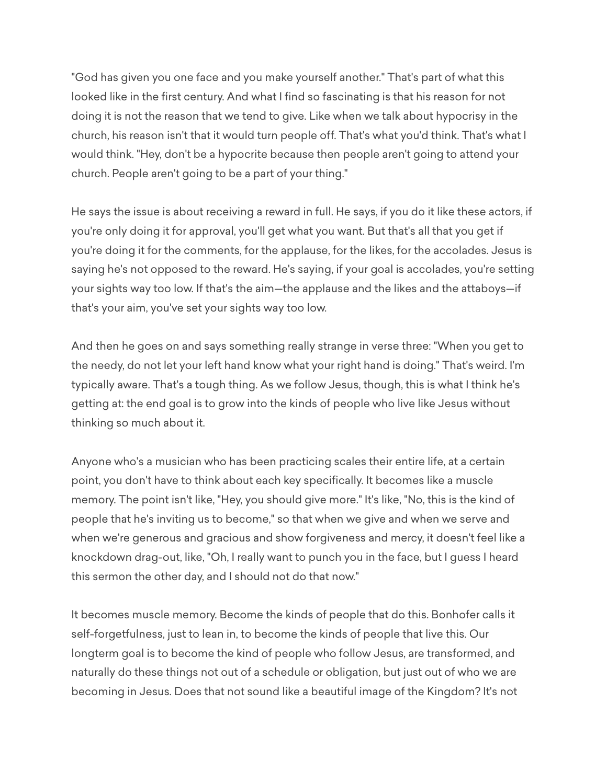"God has given you one face and you make yourself another." That's part of what this looked like in the first century. And what I find so fascinating is that his reason for not doing it is not the reason that we tend to give. Like when we talk about hypocrisy in the church, his reason isn't that it would turn people off. That's what you'd think. That's what I would think. "Hey, don't be a hypocrite because then people aren't going to attend your church. People aren't going to be a part of your thing."

He says the issue is about receiving a reward in full. He says, if you do it like these actors, if you're only doing it for approval, you'll get what you want. But that's all that you get if you're doing it for the comments, for the applause, for the likes, for the accolades. Jesus is saying he's not opposed to the reward. He's saying, if your goal is accolades, you're setting your sights way too low. If that's the aim—the applause and the likes and the attaboys—if that's your aim, you've set your sights way too low.

And then he goes on and says something really strange in verse three: "When you get to the needy, do not let your left hand know what your right hand is doing." That's weird. I'm typically aware. That's a tough thing. As we follow Jesus, though, this is what I think he's getting at: the end goal is to grow into the kinds of people who live like Jesus without thinking so much about it.

Anyone who's a musician who has been practicing scales their entire life, at a certain point, you don't have to think about each key specifically. It becomes like a muscle memory. The point isn't like, "Hey, you should give more." It's like, "No, this is the kind of people that he's inviting us to become," so that when we give and when we serve and when we're generous and gracious and show forgiveness and mercy, it doesn't feel like a knockdown drag-out, like, "Oh, I really want to punch you in the face, but I guess I heard this sermon the other day, and I should not do that now."

It becomes muscle memory. Become the kinds of people that do this. Bonhofer calls it self-forgetfulness, just to lean in, to become the kinds of people that live this. Our longterm goal is to become the kind of people who follow Jesus, are transformed, and naturally do these things not out of a schedule or obligation, but just out of who we are becoming in Jesus. Does that not sound like a beautiful image of the Kingdom? It's not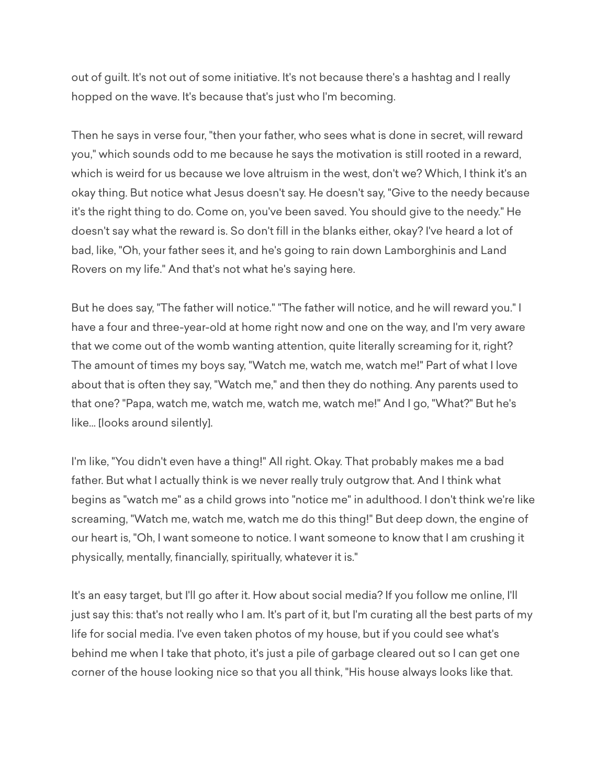out of guilt. It's not out of some initiative. It's not because there's a hashtag and I really hopped on the wave. It's because that's just who I'm becoming.

Then he says in verse four, "then your father, who sees what is done in secret, will reward you," which sounds odd to me because he says the motivation is still rooted in a reward, which is weird for us because we love altruism in the west, don't we? Which, I think it's an okay thing. But notice what Jesus doesn't say. He doesn't say, "Give to the needy because it's the right thing to do. Come on, you've been saved. You should give to the needy." He doesn't say what the reward is. So don't fill in the blanks either, okay? I've heard a lot of bad, like, "Oh, your father sees it, and he's going to rain down Lamborghinis and Land Rovers on my life." And that's not what he's saying here.

But he does say, "The father will notice." "The father will notice, and he will reward you." I have a four and three-year-old at home right now and one on the way, and I'm very aware that we come out of the womb wanting attention, quite literally screaming for it, right? The amount of times my boys say, "Watch me, watch me, watch me!" Part of what I love about that is often they say, "Watch me," and then they do nothing. Any parents used to that one? "Papa, watch me, watch me, watch me, watch me!" And I go, "What?" But he's like... [looks around silently].

I'm like, "You didn't even have a thing!" All right. Okay. That probably makes me a bad father. But what I actually think is we never really truly outgrow that. And I think what begins as "watch me" as a child grows into "notice me" in adulthood. I don't think we're like screaming, "Watch me, watch me, watch me do this thing!" But deep down, the engine of our heart is, "Oh, I want someone to notice. I want someone to know that I am crushing it physically, mentally, financially, spiritually, whatever it is."

It's an easy target, but I'll go after it. How about social media? If you follow me online, I'll just say this: that's not really who I am. It's part of it, but I'm curating all the best parts of my life for social media. I've even taken photos of my house, but if you could see what's behind me when I take that photo, it's just a pile of garbage cleared out so I can get one corner of the house looking nice so that you all think, "His house always looks like that.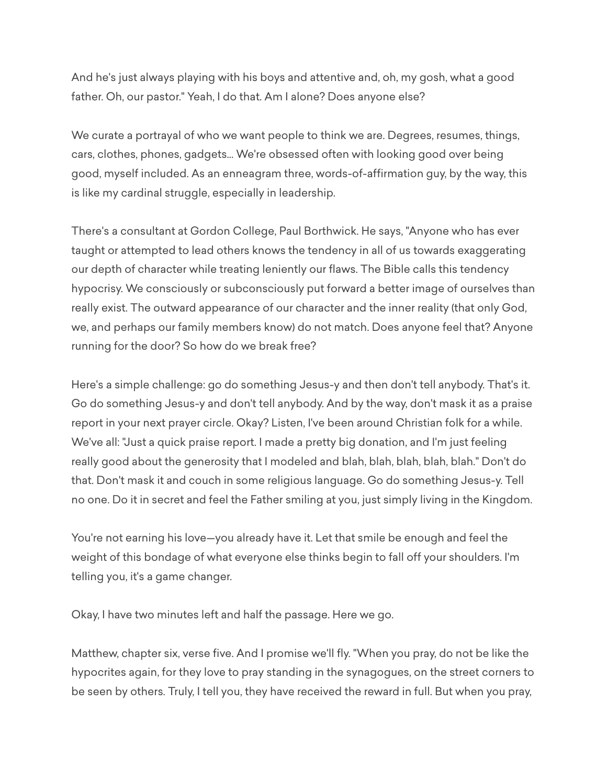And he's just always playing with his boys and attentive and, oh, my gosh, what a good father. Oh, our pastor." Yeah, I do that. Am I alone? Does anyone else?

We curate a portrayal of who we want people to think we are. Degrees, resumes, things, cars, clothes, phones, gadgets... We're obsessed often with looking good over being good, myself included. As an enneagram three, words-of-affirmation guy, by the way, this is like my cardinal struggle, especially in leadership.

There's a consultant at Gordon College, Paul Borthwick. He says, "Anyone who has ever taught or attempted to lead others knows the tendency in all of us towards exaggerating our depth of character while treating leniently our flaws. The Bible calls this tendency hypocrisy. We consciously or subconsciously put forward a better image of ourselves than really exist. The outward appearance of our character and the inner reality (that only God, we, and perhaps our family members know) do not match. Does anyone feel that? Anyone running for the door? So how do we break free?

Here's a simple challenge: go do something Jesus-y and then don't tell anybody. That's it. Go do something Jesus-y and don't tell anybody. And by the way, don't mask it as a praise report in your next prayer circle. Okay? Listen, I've been around Christian folk for a while. We've all: "Just a quick praise report. I made a pretty big donation, and I'm just feeling really good about the generosity that I modeled and blah, blah, blah, blah, blah." Don't do that. Don't mask it and couch in some religious language. Go do something Jesus-y. Tell no one. Do it in secret and feel the Father smiling at you, just simply living in the Kingdom.

You're not earning his love—you already have it. Let that smile be enough and feel the weight of this bondage of what everyone else thinks begin to fall off your shoulders. I'm telling you, it's a game changer.

Okay, I have two minutes left and half the passage. Here we go.

Matthew, chapter six, verse five. And I promise we'll fly. "When you pray, do not be like the hypocrites again, for they love to pray standing in the synagogues, on the street corners to be seen by others. Truly, I tell you, they have received the reward in full. But when you pray,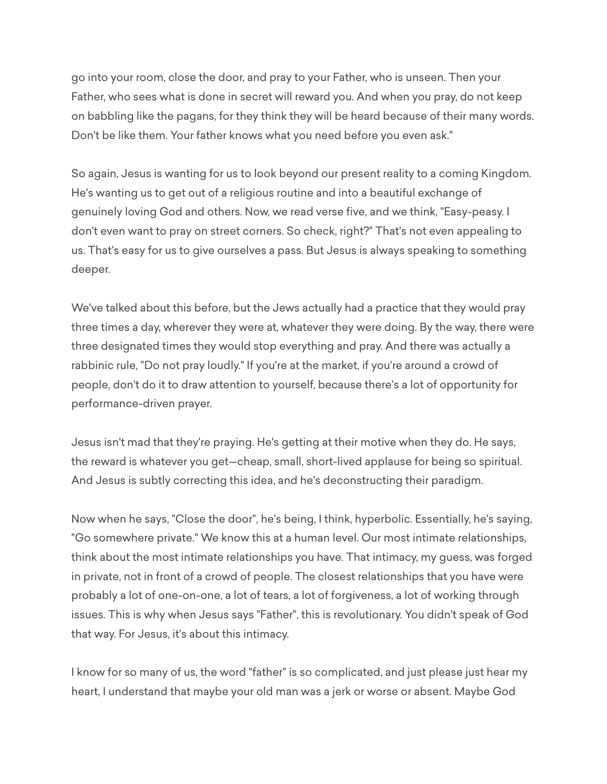go into your room, close the door, and pray to your Father, who is unseen. Then your Father, who sees what is done in secret will reward you. And when you pray, do not keep on babbling like the pagans, for they think they will be heard because of their many words. Don't be like them. Your father knows what you need before you even ask."

So again, Jesus is wanting for us to look beyond our present reality to a coming Kingdom. He's wanting us to get out of a religious routine and into a beautiful exchange of genuinely loving God and others. Now, we read verse five, and we think, "Easy-peasy. I don't even want to pray on street corners. So check, right?" That's not even appealing to us. That's easy for us to give ourselves a pass. But Jesus is always speaking to something deeper.

We've talked about this before, but the Jews actually had a practice that they would pray three times a day, wherever they were at, whatever they were doing. By the way, there were three designated times they would stop everything and pray. And there was actually a rabbinic rule, "Do not pray loudly." If you're at the market, if you're around a crowd of people, don't do it to draw attention to yourself, because there's a lot of opportunity for performance-driven prayer.

Jesus isn't mad that they're praying. He's getting at their motive when they do. He says, the reward is whatever you get—cheap, small, short-lived applause for being so spiritual. And Jesus is subtly correcting this idea, and he's deconstructing their paradigm.

Now when he says, "Close the door", he's being, I think, hyperbolic. Essentially, he's saying, "Go somewhere private." We know this at a human level. Our most intimate relationships, think about the most intimate relationships you have. That intimacy, my guess, was forged in private, not in front of a crowd of people. The closest relationships that you have were probably a lot of one-on-one, a lot of tears, a lot of forgiveness, a lot of working through issues. This is why when Jesus says "Father", this is revolutionary. You didn't speak of God that way. For Jesus, it's about this intimacy.

I know for so many of us, the word "father" is so complicated, and just please just hear my heart, I understand that maybe your old man was a jerk or worse or absent. Maybe God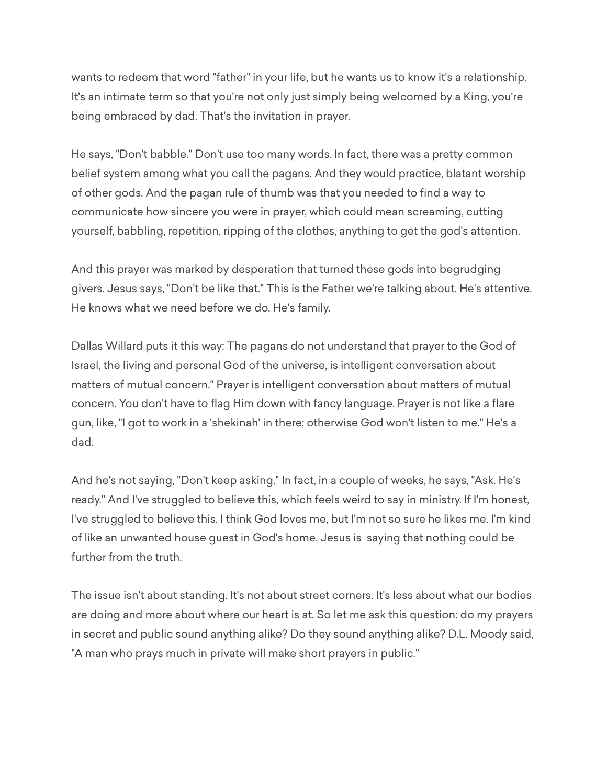wants to redeem that word "father" in your life, but he wants us to know it's a relationship. It's an intimate term so that you're not only just simply being welcomed by a King, you're being embraced by dad. That's the invitation in prayer.

He says, "Don't babble." Don't use too many words. In fact, there was a pretty common belief system among what you call the pagans. And they would practice, blatant worship of other gods. And the pagan rule of thumb was that you needed to find a way to communicate how sincere you were in prayer, which could mean screaming, cutting yourself, babbling, repetition, ripping of the clothes, anything to get the god's attention.

And this prayer was marked by desperation that turned these gods into begrudging givers. Jesus says, "Don't be like that." This is the Father we're talking about. He's attentive. He knows what we need before we do. He's family.

Dallas Willard puts it this way: The pagans do not understand that prayer to the God of Israel, the living and personal God of the universe, is intelligent conversation about matters of mutual concern." Prayer is intelligent conversation about matters of mutual concern. You don't have to flag Him down with fancy language. Prayer is not like a flare gun, like, "I got to work in a 'shekinah' in there; otherwise God won't listen to me." He's a dad.

And he's not saying, "Don't keep asking." In fact, in a couple of weeks, he says, "Ask. He's ready." And I've struggled to believe this, which feels weird to say in ministry. If I'm honest, I've struggled to believe this. I think God loves me, but I'm not so sure he likes me. I'm kind of like an unwanted house guest in God's home. Jesus is saying that nothing could be further from the truth.

The issue isn't about standing. It's not about street corners. It's less about what our bodies are doing and more about where our heart is at. So let me ask this question: do my prayers in secret and public sound anything alike? Do they sound anything alike? D.L. Moody said, "A man who prays much in private will make short prayers in public."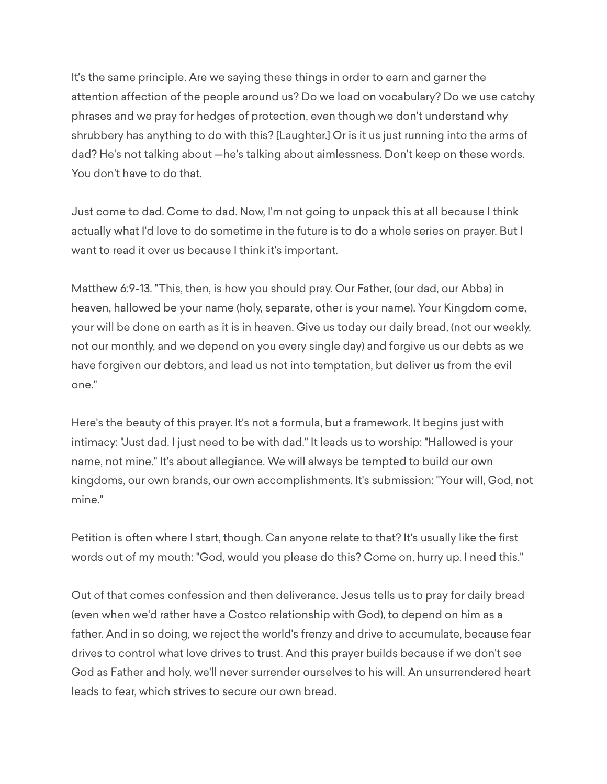It's the same principle. Are we saying these things in order to earn and garner the attention affection of the people around us? Do we load on vocabulary? Do we use catchy phrases and we pray for hedges of protection, even though we don't understand why shrubbery has anything to do with this? [Laughter.] Or is it us just running into the arms of dad? He's not talking about —he's talking about aimlessness. Don't keep on these words. You don't have to do that.

Just come to dad. Come to dad. Now, I'm not going to unpack this at all because I think actually what I'd love to do sometime in the future is to do a whole series on prayer. But I want to read it over us because I think it's important.

Matthew 6:9-13. "This, then, is how you should pray. Our Father, (our dad, our Abba) in heaven, hallowed be your name (holy, separate, other is your name). Your Kingdom come, your will be done on earth as it is in heaven. Give us today our daily bread, (not our weekly, not our monthly, and we depend on you every single day) and forgive us our debts as we have forgiven our debtors, and lead us not into temptation, but deliver us from the evil one."

Here's the beauty of this prayer. It's not a formula, but a framework. It begins just with intimacy: "Just dad. I just need to be with dad." It leads us to worship: "Hallowed is your name, not mine." It's about allegiance. We will always be tempted to build our own kingdoms, our own brands, our own accomplishments. It's submission: "Your will, God, not mine."

Petition is often where I start, though. Can anyone relate to that? It's usually like the first words out of my mouth: "God, would you please do this? Come on, hurry up. I need this."

Out of that comes confession and then deliverance. Jesus tells us to pray for daily bread (even when we'd rather have a Costco relationship with God), to depend on him as a father. And in so doing, we reject the world's frenzy and drive to accumulate, because fear drives to control what love drives to trust. And this prayer builds because if we don't see God as Father and holy, we'll never surrender ourselves to his will. An unsurrendered heart leads to fear, which strives to secure our own bread.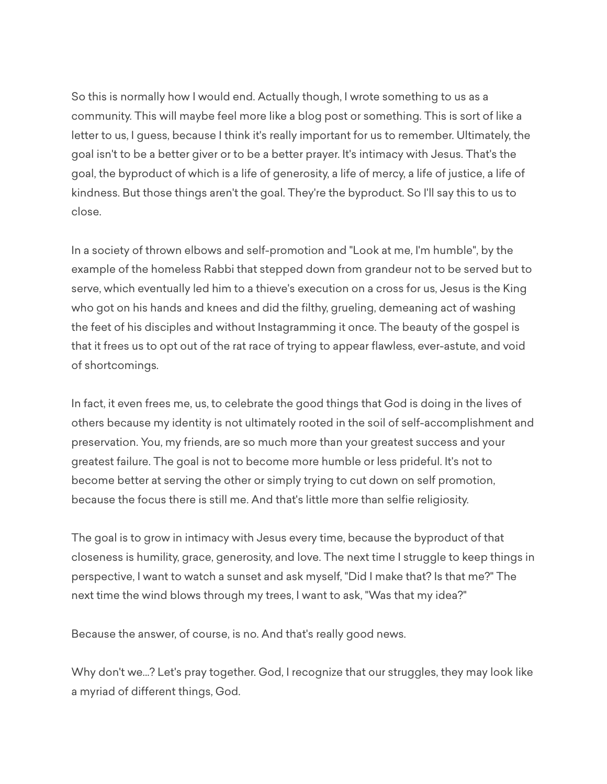So this is normally how I would end. Actually though, I wrote something to us as a community. This will maybe feel more like a blog post or something. This is sort of like a letter to us, I guess, because I think it's really important for us to remember. Ultimately, the goal isn't to be a better giver or to be a better prayer. It's intimacy with Jesus. That's the goal, the byproduct of which is a life of generosity, a life of mercy, a life of justice, a life of kindness. But those things aren't the goal. They're the byproduct. So I'll say this to us to close.

In a society of thrown elbows and self-promotion and "Look at me, I'm humble", by the example of the homeless Rabbi that stepped down from grandeur not to be served but to serve, which eventually led him to a thieve's execution on a cross for us, Jesus is the King who got on his hands and knees and did the filthy, grueling, demeaning act of washing the feet of his disciples and without Instagramming it once. The beauty of the gospel is that it frees us to opt out of the rat race of trying to appear flawless, ever-astute, and void of shortcomings.

In fact, it even frees me, us, to celebrate the good things that God is doing in the lives of others because my identity is not ultimately rooted in the soil of self-accomplishment and preservation. You, my friends, are so much more than your greatest success and your greatest failure. The goal is not to become more humble or less prideful. It's not to become better at serving the other or simply trying to cut down on self promotion, because the focus there is still me. And that's little more than selfie religiosity.

The goal is to grow in intimacy with Jesus every time, because the byproduct of that closeness is humility, grace, generosity, and love. The next time I struggle to keep things in perspective, I want to watch a sunset and ask myself, "Did I make that? Is that me?" The next time the wind blows through my trees, I want to ask, "Was that my idea?"

Because the answer, of course, is no. And that's really good news.

Why don't we...? Let's pray together. God, I recognize that our struggles, they may look like a myriad of different things, God.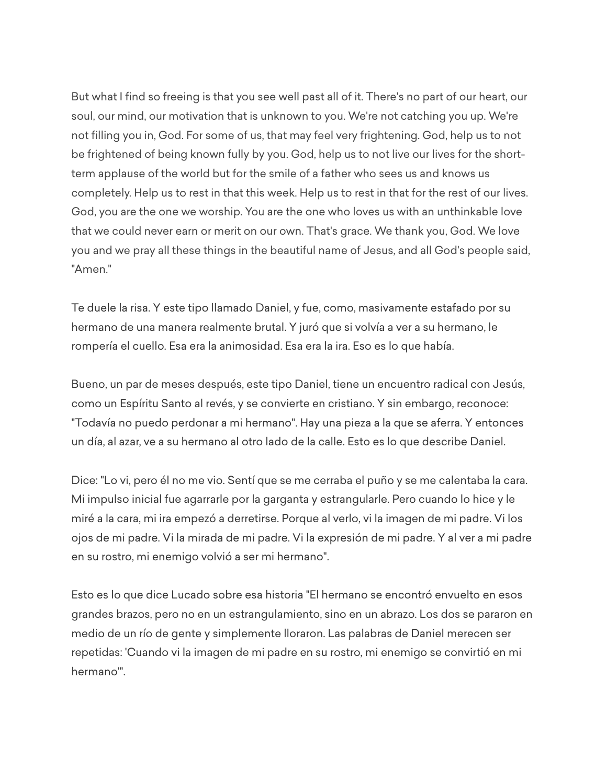But what I find so freeing is that you see well past all of it. There's no part of our heart, our soul, our mind, our motivation that is unknown to you. We're not catching you up. We're not filling you in, God. For some of us, that may feel very frightening. God, help us to not be frightened of being known fully by you. God, help us to not live our lives for the shortterm applause of the world but for the smile of a father who sees us and knows us completely. Help us to rest in that this week. Help us to rest in that for the rest of our lives. God, you are the one we worship. You are the one who loves us with an unthinkable love that we could never earn or merit on our own. That's grace. We thank you, God. We love you and we pray all these things in the beautiful name of Jesus, and all God's people said, "Amen."

Te duele la risa. Y este tipo llamado Daniel, y fue, como, masivamente estafado por su hermano de una manera realmente brutal. Y juró que si volvía a ver a su hermano, le rompería el cuello. Esa era la animosidad. Esa era la ira. Eso es lo que había.

Bueno, un par de meses después, este tipo Daniel, tiene un encuentro radical con Jesús, como un Espíritu Santo al revés, y se convierte en cristiano. Y sin embargo, reconoce: "Todavía no puedo perdonar a mi hermano". Hay una pieza a la que se aferra. Y entonces un día, al azar, ve a su hermano al otro lado de la calle. Esto es lo que describe Daniel.

Dice: "Lo vi, pero él no me vio. Sentí que se me cerraba el puño y se me calentaba la cara. Mi impulso inicial fue agarrarle por la garganta y estrangularle. Pero cuando lo hice y le miré a la cara, mi ira empezó a derretirse. Porque al verlo, vi la imagen de mi padre. Vi los ojos de mi padre. Vi la mirada de mi padre. Vi la expresión de mi padre. Y al ver a mi padre en su rostro, mi enemigo volvió a ser mi hermano".

Esto es lo que dice Lucado sobre esa historia "El hermano se encontró envuelto en esos grandes brazos, pero no en un estrangulamiento, sino en un abrazo. Los dos se pararon en medio de un río de gente y simplemente lloraron. Las palabras de Daniel merecen ser repetidas: 'Cuando vi la imagen de mi padre en su rostro, mi enemigo se convirtió en mi hermano'".